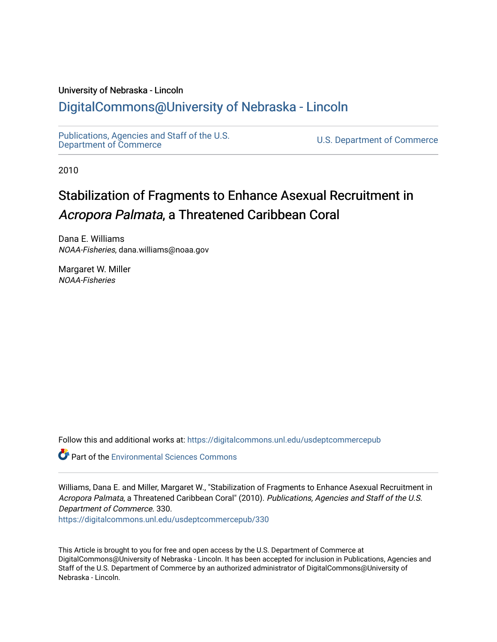### University of Nebraska - Lincoln

## [DigitalCommons@University of Nebraska - Lincoln](https://digitalcommons.unl.edu/)

[Publications, Agencies and Staff of the U.S.](https://digitalcommons.unl.edu/usdeptcommercepub)

U.S. [Department of Commerce](https://digitalcommons.unl.edu/usdeptcommercepub)

2010

## Stabilization of Fragments to Enhance Asexual Recruitment in Acropora Palmata, a Threatened Caribbean Coral

Dana E. Williams NOAA-Fisheries, dana.williams@noaa.gov

Margaret W. Miller NOAA-Fisheries

Follow this and additional works at: [https://digitalcommons.unl.edu/usdeptcommercepub](https://digitalcommons.unl.edu/usdeptcommercepub?utm_source=digitalcommons.unl.edu%2Fusdeptcommercepub%2F330&utm_medium=PDF&utm_campaign=PDFCoverPages)

**Part of the [Environmental Sciences Commons](http://network.bepress.com/hgg/discipline/167?utm_source=digitalcommons.unl.edu%2Fusdeptcommercepub%2F330&utm_medium=PDF&utm_campaign=PDFCoverPages)** 

Williams, Dana E. and Miller, Margaret W., "Stabilization of Fragments to Enhance Asexual Recruitment in Acropora Palmata, a Threatened Caribbean Coral" (2010). Publications, Agencies and Staff of the U.S. Department of Commerce. 330.

[https://digitalcommons.unl.edu/usdeptcommercepub/330](https://digitalcommons.unl.edu/usdeptcommercepub/330?utm_source=digitalcommons.unl.edu%2Fusdeptcommercepub%2F330&utm_medium=PDF&utm_campaign=PDFCoverPages) 

This Article is brought to you for free and open access by the U.S. Department of Commerce at DigitalCommons@University of Nebraska - Lincoln. It has been accepted for inclusion in Publications, Agencies and Staff of the U.S. Department of Commerce by an authorized administrator of DigitalCommons@University of Nebraska - Lincoln.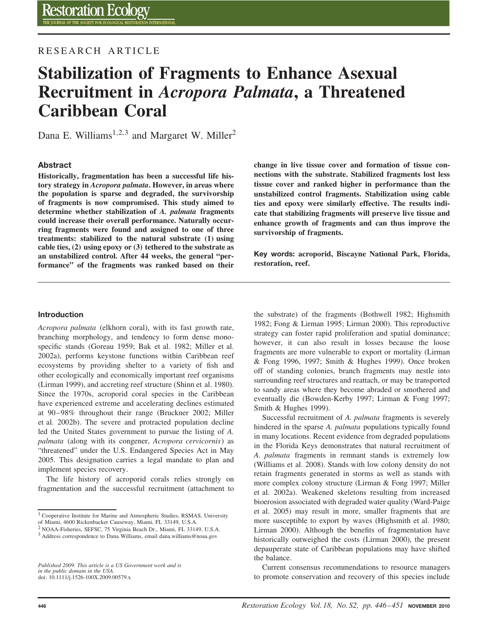### RESEARCH ARTICLE

# **Stabilization of Fragments to Enhance Asexual Recruitment in** *Acropora Palmata***, a Threatened Caribbean Coral**

Dana E. Williams<sup>1,2,3</sup> and Margaret W. Miller<sup>2</sup>

#### **Abstract**

**Historically, fragmentation has been a successful life history strategy in** *Acropora palmata***. However, in areas where the population is sparse and degraded, the survivorship of fragments is now compromised. This study aimed to determine whether stabilization of** *A. palmata* **fragments could increase their overall performance. Naturally occurring fragments were found and assigned to one of three treatments: stabilized to the natural substrate (1) using cable ties, (2) using epoxy or (3) tethered to the substrate as an unstabilized control. After 44 weeks, the general "performance" of the fragments was ranked based on their**

**change in live tissue cover and formation of tissue connections with the substrate. Stabilized fragments lost less tissue cover and ranked higher in performance than the unstabilized control fragments. Stabilization using cable ties and epoxy were similarly effective. The results indicate that stabilizing fragments will preserve live tissue and enhance growth of fragments and can thus improve the survivorship of fragments.**

**Key words: acroporid, Biscayne National Park, Florida, restoration, reef.**

#### **Introduction**

*Acropora palmata* (elkhorn coral), with its fast growth rate, branching morphology, and tendency to form dense monospecific stands (Goreau 1959; Bak et al. 1982; Miller et al. 2002a), performs keystone functions within Caribbean reef ecosystems by providing shelter to a variety of fish and other ecologically and economically important reef organisms (Lirman 1999), and accreting reef structure (Shinn et al. 1980). Since the 1970s, acroporid coral species in the Caribbean have experienced extreme and accelerating declines estimated at 90–98% throughout their range (Bruckner 2002; Miller et al. 2002b). The severe and protracted population decline led the United States government to pursue the listing of *A. palmata* (along with its congener, *Acropora cervicornis*) as "threatened" under the U.S. Endangered Species Act in May 2005. This designation carries a legal mandate to plan and implement species recovery.

The life history of acroporid corals relies strongly on fragmentation and the successful recruitment (attachment to

<sup>1</sup> Cooperative Institute for Marine and Atmospheric Studies, RSMAS, University of Miami, 4600 Rickenbacker Causeway, Miami, FL 33149, U.S.A.

*Published 2009. This article is a US Government work and is in the public domain in the USA.* doi: 10.1111/j.1526-100X.2009.00579.x

the substrate) of the fragments (Bothwell 1982; Highsmith 1982; Fong & Lirman 1995; Lirman 2000). This reproductive strategy can foster rapid proliferation and spatial dominance; however, it can also result in losses because the loose fragments are more vulnerable to export or mortality (Lirman & Fong 1996, 1997; Smith & Hughes 1999). Once broken off of standing colonies, branch fragments may nestle into surrounding reef structures and reattach, or may be transported to sandy areas where they become abraded or smothered and eventually die (Bowden-Kerby 1997; Lirman & Fong 1997; Smith & Hughes 1999).

Successful recruitment of *A. palmata* fragments is severely hindered in the sparse *A. palmata* populations typically found in many locations. Recent evidence from degraded populations in the Florida Keys demonstrates that natural recruitment of *A. palmata* fragments in remnant stands is extremely low (Williams et al. 2008). Stands with low colony density do not retain fragments generated in storms as well as stands with more complex colony structure (Lirman & Fong 1997; Miller et al. 2002a). Weakened skeletons resulting from increased bioerosion associated with degraded water quality (Ward-Paige et al. 2005) may result in more, smaller fragments that are more susceptible to export by waves (Highsmith et al. 1980; Lirman 2000). Although the benefits of fragmentation have historically outweighed the costs (Lirman 2000), the present depauperate state of Caribbean populations may have shifted the balance.

Current consensus recommendations to resource managers to promote conservation and recovery of this species include

<sup>2</sup> NOAA-Fisheries, SEFSC, 75 Virginia Beach Dr., Miami, FL 33149, U.S.A.

<sup>3</sup> Address correspondence to Dana Williams, email dana.williams@noaa.gov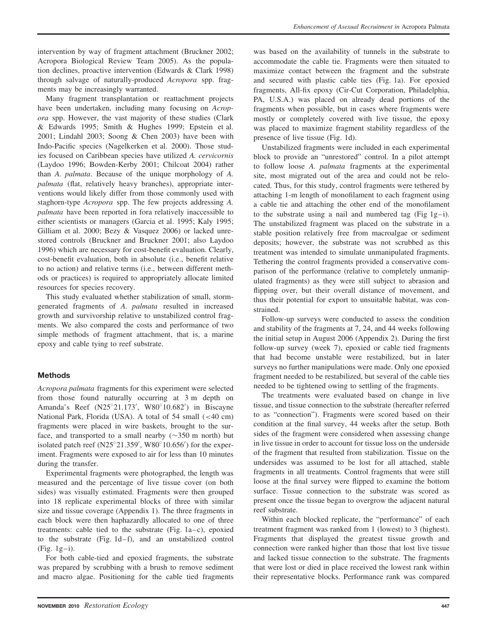intervention by way of fragment attachment (Bruckner 2002; Acropora Biological Review Team 2005). As the population declines, proactive intervention (Edwards & Clark 1998) through salvage of naturally-produced *Acropora* spp. fragments may be increasingly warranted.

Many fragment transplantation or reattachment projects have been undertaken, including many focusing on *Acropora* spp. However, the vast majority of these studies (Clark & Edwards 1995; Smith & Hughes 1999; Epstein et al. 2001; Lindahl 2003; Soong & Chen 2003) have been with Indo-Pacific species (Nagelkerken et al. 2000). Those studies focused on Caribbean species have utilized *A. cervicornis* (Laydoo 1996; Bowden-Kerby 2001; Chilcoat 2004) rather than *A. palmata*. Because of the unique morphology of *A. palmata* (flat, relatively heavy branches), appropriate interventions would likely differ from those commonly used with staghorn-type *Acropora* spp. The few projects addressing *A. palmata* have been reported in fora relatively inaccessible to either scientists or managers (Garcia et al. 1995; Kaly 1995; Gilliam et al. 2000; Bezy & Vasquez 2006) or lacked unrestored controls (Bruckner and Bruckner 2001; also Laydoo 1996) which are necessary for cost-benefit evaluation. Clearly, cost-benefit evaluation, both in absolute (i.e., benefit relative to no action) and relative terms (i.e., between different methods or practices) is required to appropriately allocate limited resources for species recovery.

This study evaluated whether stabilization of small, stormgenerated fragments of *A. palmata* resulted in increased growth and survivorship relative to unstabilized control fragments. We also compared the costs and performance of two simple methods of fragment attachment, that is, a marine epoxy and cable tying to reef substrate.

#### **Methods**

*Acropora palmata* fragments for this experiment were selected from those found naturally occurring at 3 m depth on Amanda's Reef (N25◦ 21*.*173 , W80◦ 10*.*682 ) in Biscayne National Park, Florida (USA). A total of 54 small (*<*40 cm) fragments were placed in wire baskets, brought to the surface, and transported to a small nearby (∼350 m north) but isolated patch reef (N25◦ 21*.*359 , W80◦ 10*.*656 ) for the experiment. Fragments were exposed to air for less than 10 minutes during the transfer.

Experimental fragments were photographed, the length was measured and the percentage of live tissue cover (on both sides) was visually estimated. Fragments were then grouped into 18 replicate experimental blocks of three with similar size and tissue coverage (Appendix 1). The three fragments in each block were then haphazardly allocated to one of three treatments: cable tied to the substrate (Fig. 1a–c), epoxied to the substrate (Fig.  $1d-f$ ), and an unstabilized control (Fig. 1g–i).

For both cable-tied and epoxied fragments, the substrate was prepared by scrubbing with a brush to remove sediment and macro algae. Positioning for the cable tied fragments was based on the availability of tunnels in the substrate to accommodate the cable tie. Fragments were then situated to maximize contact between the fragment and the substrate and secured with plastic cable ties (Fig. 1a). For epoxied fragments, All-fix epoxy (Cir-Cut Corporation, Philadelphia, PA, U.S.A.) was placed on already dead portions of the fragments when possible, but in cases where fragments were mostly or completely covered with live tissue, the epoxy was placed to maximize fragment stability regardless of the presence of live tissue (Fig. 1d).

Unstabilized fragments were included in each experimental block to provide an "unrestored" control. In a pilot attempt to follow loose *A. palmata* fragments at the experimental site, most migrated out of the area and could not be relocated. Thus, for this study, control fragments were tethered by attaching 1-m length of monofilament to each fragment using a cable tie and attaching the other end of the monofilament to the substrate using a nail and numbered tag (Fig  $1g-i$ ). The unstabilized fragment was placed on the substrate in a stable position relatively free from macroalgae or sediment deposits; however, the substrate was not scrubbed as this treatment was intended to simulate unmanipulated fragments. Tethering the control fragments provided a conservative comparison of the performance (relative to completely unmanipulated fragments) as they were still subject to abrasion and flipping over, but their overall distance of movement, and thus their potential for export to unsuitable habitat, was constrained.

Follow-up surveys were conducted to assess the condition and stability of the fragments at 7, 24, and 44 weeks following the initial setup in August 2006 (Appendix 2). During the first follow-up survey (week 7), epoxied or cable tied fragments that had become unstable were restabilized, but in later surveys no further manipulations were made. Only one epoxied fragment needed to be restabilized, but several of the cable ties needed to be tightened owing to settling of the fragments.

The treatments were evaluated based on change in live tissue, and tissue connection to the substrate (hereafter referred to as "connection"). Fragments were scored based on their condition at the final survey, 44 weeks after the setup. Both sides of the fragment were considered when assessing change in live tissue in order to account for tissue loss on the underside of the fragment that resulted from stabilization. Tissue on the undersides was assumed to be lost for all attached, stable fragments in all treatments. Control fragments that were still loose at the final survey were flipped to examine the bottom surface. Tissue connection to the substrate was scored as present once the tissue began to overgrow the adjacent natural reef substrate.

Within each blocked replicate, the "performance" of each treatment fragment was ranked from 1 (lowest) to 3 (highest). Fragments that displayed the greatest tissue growth and connection were ranked higher than those that lost live tissue and lacked tissue connection to the substrate. The fragments that were lost or died in place received the lowest rank within their representative blocks. Performance rank was compared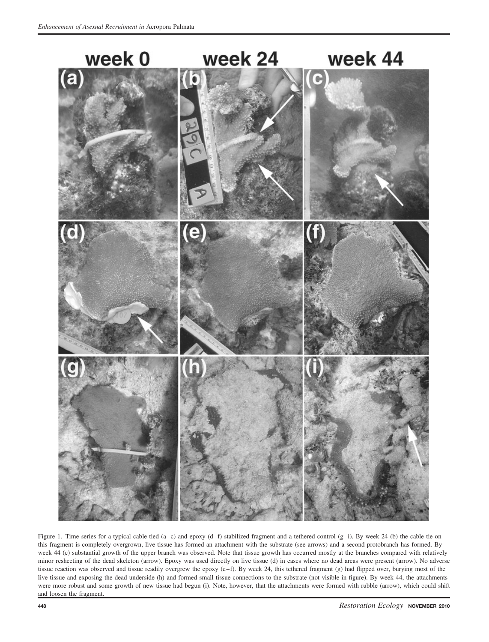

Figure 1. Time series for a typical cable tied (a–c) and epoxy (d–f) stabilized fragment and a tethered control (g–i). By week 24 (b) the cable tie on this fragment is completely overgrown, live tissue has formed an attachment with the substrate (see arrows) and a second protobranch has formed. By week 44 (c) substantial growth of the upper branch was observed. Note that tissue growth has occurred mostly at the branches compared with relatively minor resheeting of the dead skeleton (arrow). Epoxy was used directly on live tissue (d) in cases where no dead areas were present (arrow). No adverse tissue reaction was observed and tissue readily overgrew the epoxy  $(e-f)$ . By week 24, this tethered fragment  $(g)$  had flipped over, burying most of the live tissue and exposing the dead underside (h) and formed small tissue connections to the substrate (not visible in figure). By week 44, the attachments were more robust and some growth of new tissue had begun (i). Note, however, that the attachments were formed with rubble (arrow), which could shift and loosen the fragment.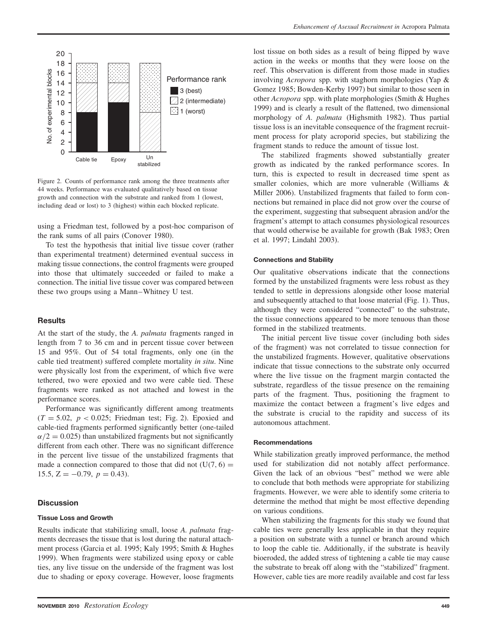

Figure 2. Counts of performance rank among the three treatments after 44 weeks. Performance was evaluated qualitatively based on tissue growth and connection with the substrate and ranked from 1 (lowest, including dead or lost) to 3 (highest) within each blocked replicate.

using a Friedman test, followed by a post-hoc comparison of the rank sums of all pairs (Conover 1980).

To test the hypothesis that initial live tissue cover (rather than experimental treatment) determined eventual success in making tissue connections, the control fragments were grouped into those that ultimately succeeded or failed to make a connection. The initial live tissue cover was compared between these two groups using a Mann–Whitney U test.

#### **Results**

At the start of the study, the *A. palmata* fragments ranged in length from 7 to 36 cm and in percent tissue cover between 15 and 95%. Out of 54 total fragments, only one (in the cable tied treatment) suffered complete mortality *in situ*. Nine were physically lost from the experiment, of which five were tethered, two were epoxied and two were cable tied. These fragments were ranked as not attached and lowest in the performance scores.

Performance was significantly different among treatments  $(T = 5.02, p < 0.025$ ; Friedman test; Fig. 2). Epoxied and cable-tied fragments performed significantly better (one-tailed  $\alpha/2 = 0.025$ ) than unstabilized fragments but not significantly different from each other. There was no significant difference in the percent live tissue of the unstabilized fragments that made a connection compared to those that did not  $(U(7, 6) =$ 15.5,  $Z = -0.79$ ,  $p = 0.43$ ).

#### **Discussion**

#### **Tissue Loss and Growth**

Results indicate that stabilizing small, loose *A. palmata* fragments decreases the tissue that is lost during the natural attachment process (Garcia et al. 1995; Kaly 1995; Smith & Hughes 1999). When fragments were stabilized using epoxy or cable ties, any live tissue on the underside of the fragment was lost due to shading or epoxy coverage. However, loose fragments

lost tissue on both sides as a result of being flipped by wave action in the weeks or months that they were loose on the reef. This observation is different from those made in studies involving *Acropora* spp. with staghorn morphologies (Yap & Gomez 1985; Bowden-Kerby 1997) but similar to those seen in other *Acropora* spp. with plate morphologies (Smith & Hughes 1999) and is clearly a result of the flattened, two dimensional morphology of *A. palmata* (Highsmith 1982). Thus partial tissue loss is an inevitable consequence of the fragment recruitment process for platy acroporid species, but stabilizing the fragment stands to reduce the amount of tissue lost.

The stabilized fragments showed substantially greater growth as indicated by the ranked performance scores. In turn, this is expected to result in decreased time spent as smaller colonies, which are more vulnerable (Williams & Miller 2006). Unstabilized fragments that failed to form connections but remained in place did not grow over the course of the experiment, suggesting that subsequent abrasion and/or the fragment's attempt to attach consumes physiological resources that would otherwise be available for growth (Bak 1983; Oren et al. 1997; Lindahl 2003).

#### **Connections and Stability**

Our qualitative observations indicate that the connections formed by the unstabilized fragments were less robust as they tended to settle in depressions alongside other loose material and subsequently attached to that loose material (Fig. 1). Thus, although they were considered "connected" to the substrate, the tissue connections appeared to be more tenuous than those formed in the stabilized treatments.

The initial percent live tissue cover (including both sides of the fragment) was not correlated to tissue connection for the unstabilized fragments. However, qualitative observations indicate that tissue connections to the substrate only occurred where the live tissue on the fragment margin contacted the substrate, regardless of the tissue presence on the remaining parts of the fragment. Thus, positioning the fragment to maximize the contact between a fragment's live edges and the substrate is crucial to the rapidity and success of its autonomous attachment.

#### **Recommendations**

While stabilization greatly improved performance, the method used for stabilization did not notably affect performance. Given the lack of an obvious "best" method we were able to conclude that both methods were appropriate for stabilizing fragments. However, we were able to identify some criteria to determine the method that might be most effective depending on various conditions.

When stabilizing the fragments for this study we found that cable ties were generally less applicable in that they require a position on substrate with a tunnel or branch around which to loop the cable tie. Additionally, if the substrate is heavily bioeroded, the added stress of tightening a cable tie may cause the substrate to break off along with the "stabilized" fragment. However, cable ties are more readily available and cost far less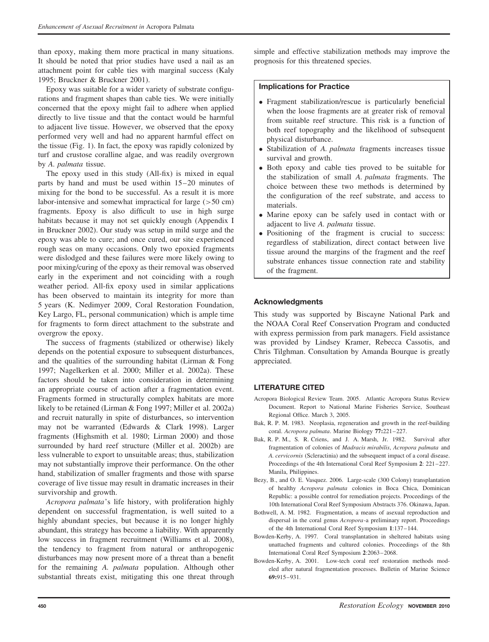than epoxy, making them more practical in many situations. It should be noted that prior studies have used a nail as an attachment point for cable ties with marginal success (Kaly 1995; Bruckner & Bruckner 2001).

Epoxy was suitable for a wider variety of substrate configurations and fragment shapes than cable ties. We were initially concerned that the epoxy might fail to adhere when applied directly to live tissue and that the contact would be harmful to adjacent live tissue. However, we observed that the epoxy performed very well and had no apparent harmful effect on the tissue (Fig. 1). In fact, the epoxy was rapidly colonized by turf and crustose coralline algae, and was readily overgrown by *A. palmata* tissue.

The epoxy used in this study (All-fix) is mixed in equal parts by hand and must be used within 15–20 minutes of mixing for the bond to be successful. As a result it is more labor-intensive and somewhat impractical for large (*>*50 cm) fragments. Epoxy is also difficult to use in high surge habitats because it may not set quickly enough (Appendix I in Bruckner 2002). Our study was setup in mild surge and the epoxy was able to cure; and once cured, our site experienced rough seas on many occasions. Only two epoxied fragments were dislodged and these failures were more likely owing to poor mixing/curing of the epoxy as their removal was observed early in the experiment and not coinciding with a rough weather period. All-fix epoxy used in similar applications has been observed to maintain its integrity for more than 5 years (K. Nedimyer 2009, Coral Restoration Foundation, Key Largo, FL, personal communication) which is ample time for fragments to form direct attachment to the substrate and overgrow the epoxy.

The success of fragments (stabilized or otherwise) likely depends on the potential exposure to subsequent disturbances, and the qualities of the surrounding habitat (Lirman & Fong 1997; Nagelkerken et al. 2000; Miller et al. 2002a). These factors should be taken into consideration in determining an appropriate course of action after a fragmentation event. Fragments formed in structurally complex habitats are more likely to be retained (Lirman & Fong 1997; Miller et al. 2002a) and recruit naturally in spite of disturbances, so intervention may not be warranted (Edwards & Clark 1998). Larger fragments (Highsmith et al. 1980; Lirman 2000) and those surrounded by hard reef structure (Miller et al. 2002b) are less vulnerable to export to unsuitable areas; thus, stabilization may not substantially improve their performance. On the other hand, stabilization of smaller fragments and those with sparse coverage of live tissue may result in dramatic increases in their survivorship and growth.

*Acropora palmata*'s life history, with proliferation highly dependent on successful fragmentation, is well suited to a highly abundant species, but because it is no longer highly abundant, this strategy has become a liability. With apparently low success in fragment recruitment (Williams et al. 2008), the tendency to fragment from natural or anthropogenic disturbances may now present more of a threat than a benefit for the remaining *A. palmata* population. Although other substantial threats exist, mitigating this one threat through

simple and effective stabilization methods may improve the prognosis for this threatened species.

#### **Implications for Practice**

- Fragment stabilization/rescue is particularly beneficial when the loose fragments are at greater risk of removal from suitable reef structure. This risk is a function of both reef topography and the likelihood of subsequent physical disturbance.
- Stabilization of *A. palmata* fragments increases tissue survival and growth.
- Both epoxy and cable ties proved to be suitable for the stabilization of small *A. palmata* fragments. The choice between these two methods is determined by the configuration of the reef substrate, and access to materials.
- Marine epoxy can be safely used in contact with or adjacent to live *A. palmata* tissue.
- Positioning of the fragment is crucial to success: regardless of stabilization, direct contact between live tissue around the margins of the fragment and the reef substrate enhances tissue connection rate and stability of the fragment.

#### **Acknowledgments**

This study was supported by Biscayne National Park and the NOAA Coral Reef Conservation Program and conducted with express permission from park managers. Field assistance was provided by Lindsey Kramer, Rebecca Cassotis, and Chris Tilghman. Consultation by Amanda Bourque is greatly appreciated.

#### **LITERATURE CITED**

- Acropora Biological Review Team. 2005. Atlantic Acropora Status Review Document. Report to National Marine Fisheries Service, Southeast Regional Office. March 3, 2005.
- Bak, R. P. M. 1983. Neoplasia, regeneration and growth in the reef-building coral. *Acropora palmata*. Marine Biology **77:**221–227.
- Bak, R. P. M., S. R. Criens, and J. A. Marsh, Jr. 1982. Survival after fragmentation of colonies of *Madracis mirabilis*, *Acropora palmata* and *A. cervicornis* (Scleractinia) and the subsequent impact of a coral disease. Proceedings of the 4th International Coral Reef Symposium **2**: 221–227. Manila, Philippines.
- Bezy, B., and O. E. Vasquez. 2006. Large-scale (300 Colony) transplantation of healthy *Acropora palmata* colonies in Boca Chica, Dominican Republic: a possible control for remediation projects. Proceedings of the 10th International Coral Reef Symposium Abstracts 376. Okinawa, Japan.
- Bothwell, A. M. 1982. Fragmentation, a means of asexual reproduction and dispersal in the coral genus *Acropora*-a preliminary report. Proceedings of the 4th International Coral Reef Symposium **1**:137–144.
- Bowden-Kerby, A. 1997. Coral transplantation in sheltered habitats using unattached fragments and cultured colonies. Proceedings of the 8th International Coral Reef Symposium **2**:2063–2068.
- Bowden-Kerby, A. 2001. Low-tech coral reef restoration methods modeled after natural fragmentation processes. Bulletin of Marine Science **69:**915–931.